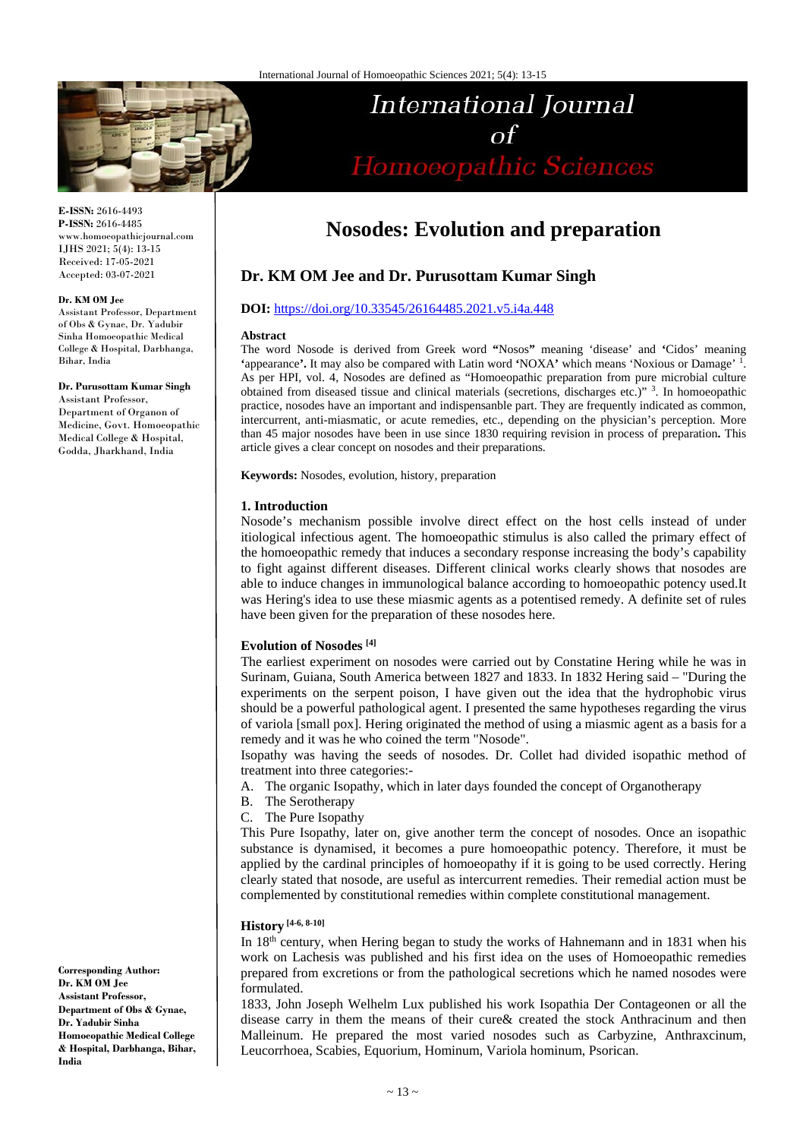

# International Journal  $\Omega$ Homoeopathic Sciences

**E-ISSN:** 2616-4493 **P-ISSN:** 2616-4485 www.homoeopathicjournal.com IJHS 2021; 5(4): 13-15 Received: 17-05-2021 Accepted: 03-07-2021

#### **Dr. KM OM Jee**

Assistant Professor, Department of Obs & Gynae, Dr. Yadubir Sinha Homoeopathic Medical College & Hospital, Darbhanga, Bihar, India

**Dr. Purusottam Kumar Singh**

Assistant Professor, Department of Organon of Medicine, Govt. Homoeopathic Medical College & Hospital, Godda, Jharkhand, India

**Corresponding Author: Dr. KM OM Jee Assistant Professor, Department of Obs & Gynae, Dr. Yadubir Sinha Homoeopathic Medical College & Hospital, Darbhanga, Bihar, India**

## **Nosodes: Evolution and preparation**

## **Dr. KM OM Jee and Dr. Purusottam Kumar Singh**

#### **DOI:** <https://doi.org/10.33545/26164485.2021.v5.i4a.448>

#### **Abstract**

The word Nosode is derived from Greek word **"**Nosos**"** meaning 'disease' and **'**Cidos' meaning **'**appearance**'.** It may also be compared with Latin word **'**NOXA**'** which means 'Noxious or Damage' 1. As per HPI, vol. 4, Nosodes are defined as "Homoeopathic preparation from pure microbial culture obtained from diseased tissue and clinical materials (secretions, discharges etc.)" 3 . In homoeopathic practice, nosodes have an important and indispensanble part. They are frequently indicated as common, intercurrent, anti-miasmatic, or acute remedies, etc., depending on the physician's perception. More than 45 major nosodes have been in use since 1830 requiring revision in process of preparation**.** This article gives a clear concept on nosodes and their preparations.

**Keywords:** Nosodes, evolution, history, preparation

#### **1. Introduction**

Nosode's mechanism possible involve direct effect on the host cells instead of under itiological infectious agent. The homoeopathic stimulus is also called the primary effect of the homoeopathic remedy that induces a secondary response increasing the body's capability to fight against different diseases. Different clinical works clearly shows that nosodes are able to induce changes in immunological balance according to homoeopathic potency used.It was Hering's idea to use these miasmic agents as a potentised remedy. A definite set of rules have been given for the preparation of these nosodes here.

#### **Evolution of Nosodes [4]**

The earliest experiment on nosodes were carried out by Constatine Hering while he was in Surinam, Guiana, South America between 1827 and 1833. In 1832 Hering said – "During the experiments on the serpent poison, I have given out the idea that the hydrophobic virus should be a powerful pathological agent. I presented the same hypotheses regarding the virus of variola [small pox]. Hering originated the method of using a miasmic agent as a basis for a remedy and it was he who coined the term "Nosode".

Isopathy was having the seeds of nosodes. Dr. Collet had divided isopathic method of treatment into three categories:-

- A. The organic Isopathy, which in later days founded the concept of Organotherapy
- B. The Serotherapy
- C. The Pure Isopathy

This Pure Isopathy, later on, give another term the concept of nosodes. Once an isopathic substance is dynamised, it becomes a pure homoeopathic potency. Therefore, it must be applied by the cardinal principles of homoeopathy if it is going to be used correctly. Hering clearly stated that nosode, are useful as intercurrent remedies. Their remedial action must be complemented by constitutional remedies within complete constitutional management.

## **History [4-6, 8-10]**

In 18<sup>th</sup> century, when Hering began to study the works of Hahnemann and in 1831 when his work on Lachesis was published and his first idea on the uses of Homoeopathic remedies prepared from excretions or from the pathological secretions which he named nosodes were formulated.

1833, John Joseph Welhelm Lux published his work Isopathia Der Contageonen or all the disease carry in them the means of their cure& created the stock Anthracinum and then Malleinum. He prepared the most varied nosodes such as Carbyzine, Anthraxcinum, Leucorrhoea, Scabies, Equorium, Hominum, Variola hominum, Psorican.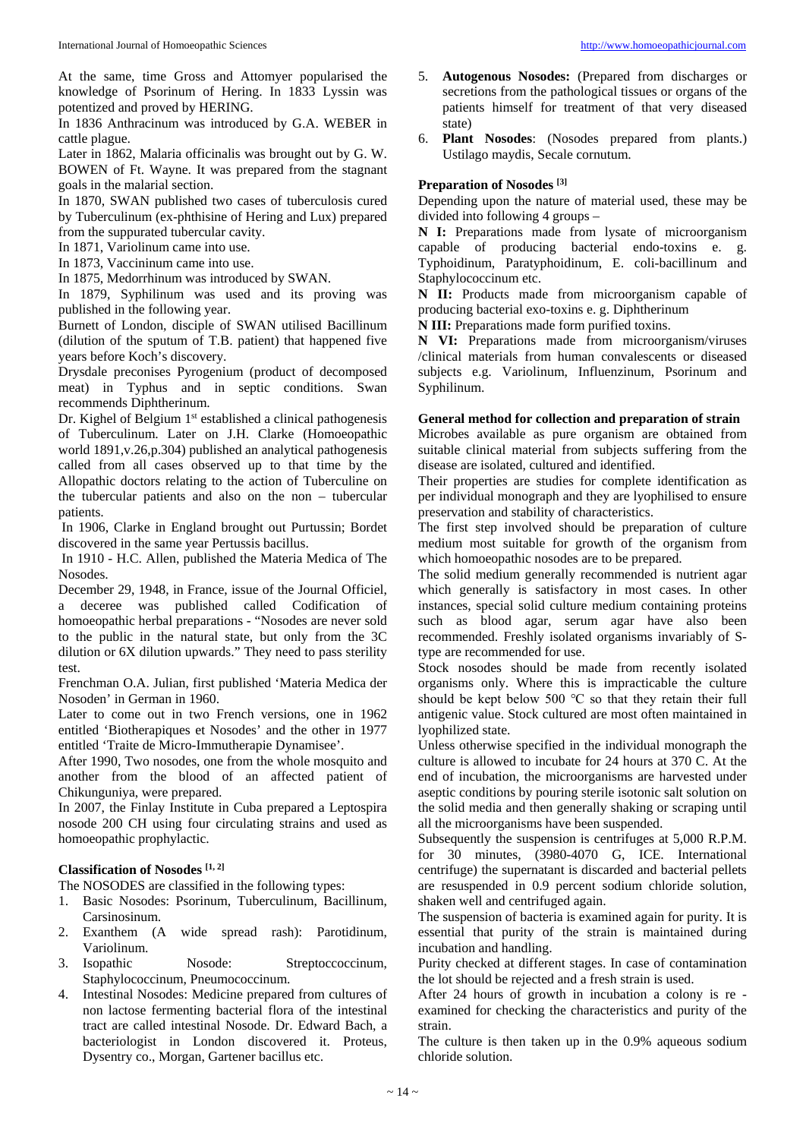At the same, time Gross and Attomyer popularised the knowledge of Psorinum of Hering. In 1833 Lyssin was potentized and proved by HERING.

In 1836 Anthracinum was introduced by G.A. WEBER in cattle plague.

Later in 1862, Malaria officinalis was brought out by G. W. BOWEN of Ft. Wayne. It was prepared from the stagnant goals in the malarial section.

In 1870, SWAN published two cases of tuberculosis cured by Tuberculinum (ex-phthisine of Hering and Lux) prepared from the suppurated tubercular cavity.

In 1871, Variolinum came into use.

In 1873, Vaccininum came into use.

In 1875, Medorrhinum was introduced by SWAN.

In 1879, Syphilinum was used and its proving was published in the following year.

Burnett of London, disciple of SWAN utilised Bacillinum (dilution of the sputum of T.B. patient) that happened five years before Koch's discovery.

Drysdale preconises Pyrogenium (product of decomposed meat) in Typhus and in septic conditions. Swan recommends Diphtherinum.

Dr. Kighel of Belgium 1<sup>st</sup> established a clinical pathogenesis of Tuberculinum. Later on J.H. Clarke (Homoeopathic world 1891,v.26,p.304) published an analytical pathogenesis called from all cases observed up to that time by the Allopathic doctors relating to the action of Tuberculine on the tubercular patients and also on the non – tubercular patients.

In 1906, Clarke in England brought out Purtussin; Bordet discovered in the same year Pertussis bacillus.

In 1910 - H.C. Allen, published the Materia Medica of The Nosodes.

December 29, 1948, in France, issue of the Journal Officiel, a deceree was published called Codification of homoeopathic herbal preparations - "Nosodes are never sold to the public in the natural state, but only from the 3C dilution or 6X dilution upwards." They need to pass sterility test.

Frenchman O.A. Julian, first published 'Materia Medica der Nosoden' in German in 1960.

Later to come out in two French versions, one in 1962 entitled 'Biotherapiques et Nosodes' and the other in 1977 entitled 'Traite de Micro-Immutherapie Dynamisee'.

After 1990, Two nosodes, one from the whole mosquito and another from the blood of an affected patient of Chikunguniya, were prepared.

In 2007, the Finlay Institute in Cuba prepared a Leptospira nosode 200 CH using four circulating strains and used as homoeopathic prophylactic.

#### **Classification of Nosodes [1, 2]**

The NOSODES are classified in the following types:

- 1. Basic Nosodes: Psorinum, Tuberculinum, Bacillinum, Carsinosinum.
- 2. Exanthem (A wide spread rash): Parotidinum, Variolinum.
- 3. Isopathic Nosode: Streptoccoccinum, Staphylococcinum, Pneumococcinum.
- 4. Intestinal Nosodes: Medicine prepared from cultures of non lactose fermenting bacterial flora of the intestinal tract are called intestinal Nosode. Dr. Edward Bach, a bacteriologist in London discovered it. Proteus, Dysentry co., Morgan, Gartener bacillus etc.
- 5. **Autogenous Nosodes:** (Prepared from discharges or secretions from the pathological tissues or organs of the patients himself for treatment of that very diseased state)
- 6. **Plant Nosodes**: (Nosodes prepared from plants.) Ustilago maydis, Secale cornutum.

### **Preparation of Nosodes [3]**

Depending upon the nature of material used, these may be divided into following 4 groups –

**N I:** Preparations made from lysate of microorganism capable of producing bacterial endo-toxins e. g. Typhoidinum, Paratyphoidinum, E. coli-bacillinum and Staphylococcinum etc.

**N II:** Products made from microorganism capable of producing bacterial exo-toxins e. g. Diphtherinum

**N III:** Preparations made form purified toxins.

**N VI:** Preparations made from microorganism/viruses /clinical materials from human convalescents or diseased subjects e.g. Variolinum, Influenzinum, Psorinum and Syphilinum.

#### **General method for collection and preparation of strain**

Microbes available as pure organism are obtained from suitable clinical material from subjects suffering from the disease are isolated, cultured and identified.

Their properties are studies for complete identification as per individual monograph and they are lyophilised to ensure preservation and stability of characteristics.

The first step involved should be preparation of culture medium most suitable for growth of the organism from which homoeopathic nosodes are to be prepared.

The solid medium generally recommended is nutrient agar which generally is satisfactory in most cases. In other instances, special solid culture medium containing proteins such as blood agar, serum agar have also been recommended. Freshly isolated organisms invariably of Stype are recommended for use.

Stock nosodes should be made from recently isolated organisms only. Where this is impracticable the culture should be kept below 500 ℃ so that they retain their full antigenic value. Stock cultured are most often maintained in lyophilized state.

Unless otherwise specified in the individual monograph the culture is allowed to incubate for 24 hours at 370 C. At the end of incubation, the microorganisms are harvested under aseptic conditions by pouring sterile isotonic salt solution on the solid media and then generally shaking or scraping until all the microorganisms have been suspended.

Subsequently the suspension is centrifuges at 5,000 R.P.M. for 30 minutes, (3980-4070 G, ICE. International centrifuge) the supernatant is discarded and bacterial pellets are resuspended in 0.9 percent sodium chloride solution, shaken well and centrifuged again.

The suspension of bacteria is examined again for purity. It is essential that purity of the strain is maintained during incubation and handling.

Purity checked at different stages. In case of contamination the lot should be rejected and a fresh strain is used.

After 24 hours of growth in incubation a colony is re examined for checking the characteristics and purity of the strain.

The culture is then taken up in the 0.9% aqueous sodium chloride solution.